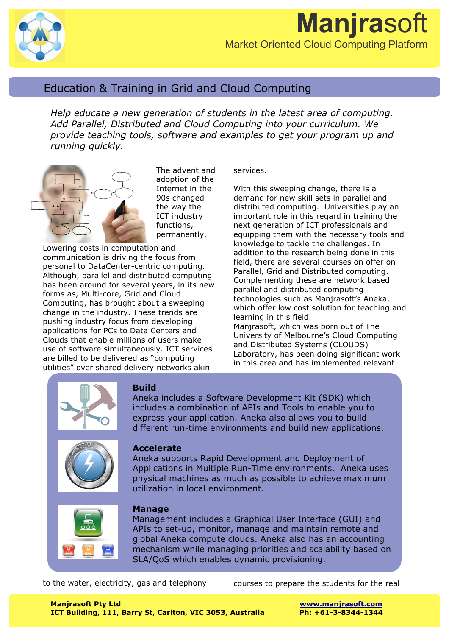

# Education & Training in Grid and Cloud Computing

*Help educate a new generation of students in the latest area of computing. Add Parallel, Distributed and Cloud Computing into your curriculum. We provide teaching tools, software and examples to get your program up and running quickly.*



The advent and adoption of the Internet in the 90s changed the way the ICT industry functions, permanently.

Lowering costs in computation and communication is driving the focus from personal to DataCenter-centric computing. Although, parallel and distributed computing has been around for several years, in its new forms as, Multi-core, Grid and Cloud Computing, has brought about a sweeping change in the industry. These trends are pushing industry focus from developing applications for PCs to Data Centers and Clouds that enable millions of users make use of software simultaneously. ICT services are billed to be delivered as "computing utilities" over shared delivery networks akin

#### services.

With this sweeping change, there is a demand for new skill sets in parallel and distributed computing. Universities play an important role in this regard in training the next generation of ICT professionals and equipping them with the necessary tools and knowledge to tackle the challenges. In addition to the research being done in this field, there are several courses on offer on Parallel, Grid and Distributed computing. Complementing these are network based parallel and distributed computing technologies such as Manjrasoft's Aneka, which offer low cost solution for teaching and learning in this field. Manjrasoft, which was born out of The University of Melbourne's Cloud Computing and Distributed Systems (CLOUDS) Laboratory, has been doing significant work in this area and has implemented relevant



### **Build**

Aneka includes a Software Development Kit (SDK) which includes a combination of APIs and Tools to enable you to express your application. Aneka also allows you to build different run-time environments and build new applications.



### **Accelerate**

Aneka supports Rapid Development and Deployment of Applications in Multiple Run-Time environments. Aneka uses physical machines as much as possible to achieve maximum utilization in local environment.



### **Manage**

Management includes a Graphical User Interface (GUI) and APIs to set-up, monitor, manage and maintain remote and global Aneka compute clouds. Aneka also has an accounting mechanism while managing priorities and scalability based on SLA/QoS which enables dynamic provisioning.

to the water, electricity, gas and telephony

courses to prepare the students for the real

**Manjrasoft Pty Ltd www.manjrasoft.com ICT Building, 111, Barry St, Carlton, VIC 3053, Australia Ph: +61-3-8344-1344**